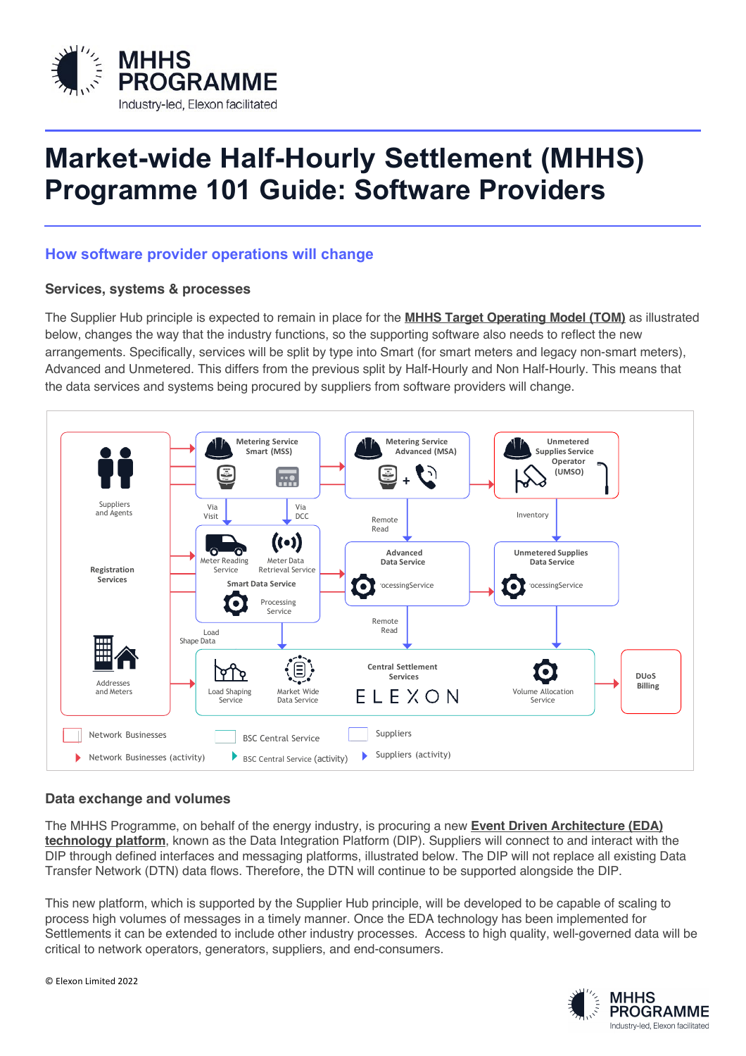

## **Market-wide Half-Hourly Settlement (MHHS) Programme 101 Guide: Software Providers**

## **How software provider operations will change**

## **Services, systems & processes**

The Supplier Hub principle is expected to remain in place for the **MHHS Target Operating Model (TOM)** as illustrated below, changes the way that the industry functions, so the supporting software also needs to reflect the new arrangements. Specifically, services will be split by type into Smart (for smart meters and legacy non-smart meters), Advanced and Unmetered. This differs from the previous split by Half-Hourly and Non Half-Hourly. This means that the data services and systems being procured by suppliers from software providers will change.



## **Data exchange and volumes**

The MHHS Programme, on behalf of the energy industry, is procuring a new **Event Driven Architecture (EDA) technology platform**, known as the Data Integration Platform (DIP). Suppliers will connect to and interact with the DIP through defined interfaces and messaging platforms, illustrated below. The DIP will not replace all existing Data Transfer Network (DTN) data flows. Therefore, the DTN will continue to be supported alongside the DIP.

This new platform, which is supported by the Supplier Hub principle, will be developed to be capable of scaling to process high volumes of messages in a timely manner. Once the EDA technology has been implemented for Settlements it can be extended to include other industry processes. Access to high quality, well-governed data will be critical to network operators, generators, suppliers, and end-consumers.

> **MHHS PROGRAMME** Industry-led, Flexon facilitated

© Elexon Limited 2022